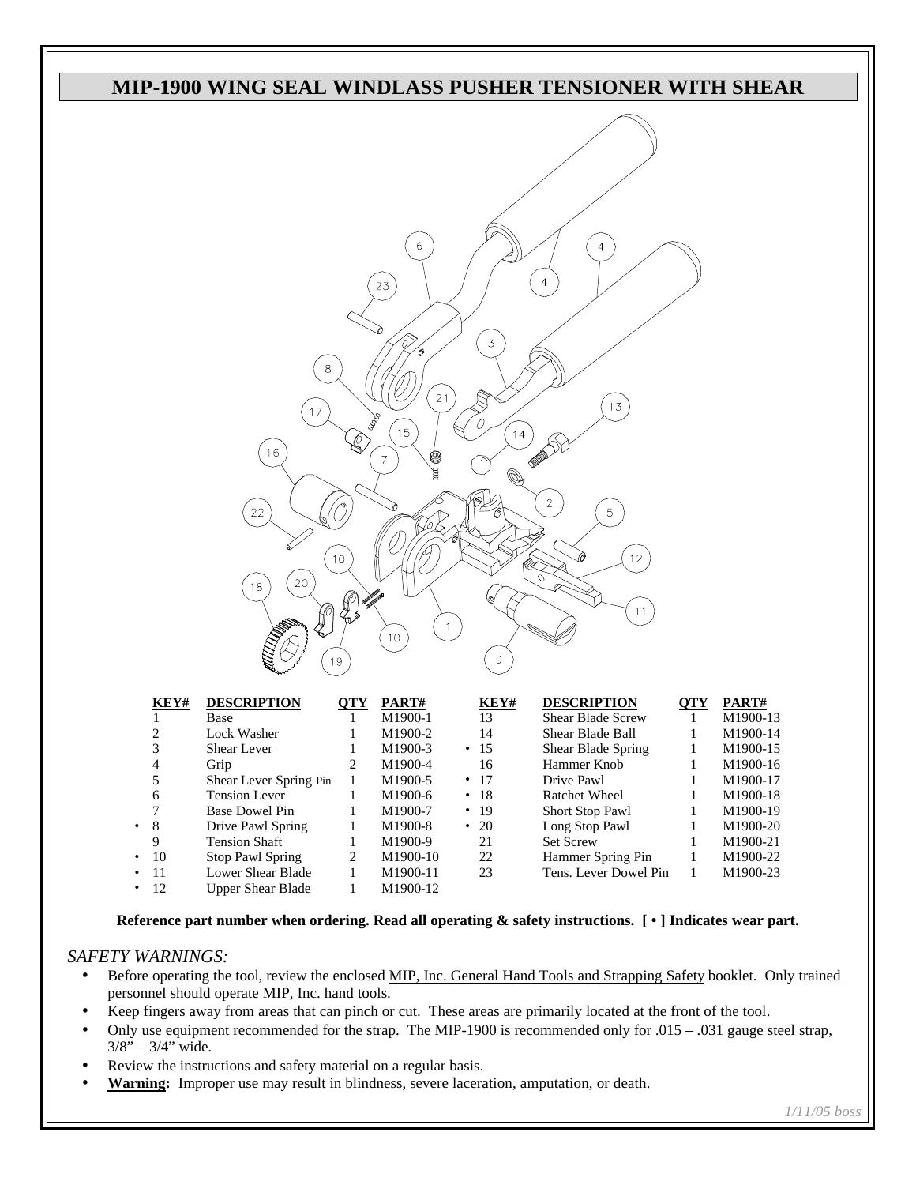

|           | NC 1#      | DESURIF HUN              | VI 1 | 17 AN 17            | NC 1#      | DESURIT LIUN             | VII | 17 A.N. 1 # |
|-----------|------------|--------------------------|------|---------------------|------------|--------------------------|-----|-------------|
|           |            | Base                     |      | M1900-1             | 13         | <b>Shear Blade Screw</b> |     | M1900-13    |
|           |            | Lock Washer              |      | M1900-2             | 14         | Shear Blade Ball         |     | M1900-14    |
|           | 3          | Shear Lever              |      | M1900-3             | $\cdot$ 15 | Shear Blade Spring       |     | M1900-15    |
|           | 4          | Grip                     |      | M1900-4             | 16         | Hammer Knob              |     | M1900-16    |
|           |            | Shear Lever Spring Pin   |      | M <sub>1900-5</sub> | $\cdot$ 17 | Drive Pawl               |     | M1900-17    |
|           | 6          | <b>Tension Lever</b>     |      | M1900-6             | $\cdot$ 18 | <b>Ratchet Wheel</b>     |     | M1900-18    |
|           | 7          | Base Dowel Pin           |      | M1900-7             | $\cdot$ 19 | <b>Short Stop Pawl</b>   |     | M1900-19    |
| $\cdot$ 8 |            | Drive Pawl Spring        |      | M1900-8             | $\cdot$ 20 | Long Stop Pawl           |     | M1900-20    |
|           | 9          | <b>Tension Shaft</b>     |      | M1900-9             | 21         | <b>Set Screw</b>         |     | M1900-21    |
|           | $\cdot$ 10 | <b>Stop Pawl Spring</b>  |      | M1900-10            | 22         | Hammer Spring Pin        |     | M1900-22    |
|           | $\cdot$ 11 | Lower Shear Blade        |      | M1900-11            | 23         | Tens. Lever Dowel Pin    |     | M1900-23    |
|           | $\cdot$ 12 | <b>Upper Shear Blade</b> |      | M1900-12            |            |                          |     |             |
|           |            |                          |      |                     |            |                          |     |             |

**Reference part number when ordering. Read all operating & safety instructions. [ • ] Indicates wear part.**

## *SAFETY WARNINGS:*

- Before operating the tool, review the enclosed MIP, Inc. General Hand Tools and Strapping Safety booklet. Only trained personnel should operate MIP, Inc. hand tools.
- Keep fingers away from areas that can pinch or cut. These areas are primarily located at the front of the tool.
- Only use equipment recommended for the strap. The MIP-1900 is recommended only for .015 .031 gauge steel strap,  $3/8" - 3/4"$  wide.
- Review the instructions and safety material on a regular basis.
- **Warning:** Improper use may result in blindness, severe laceration, amputation, or death.